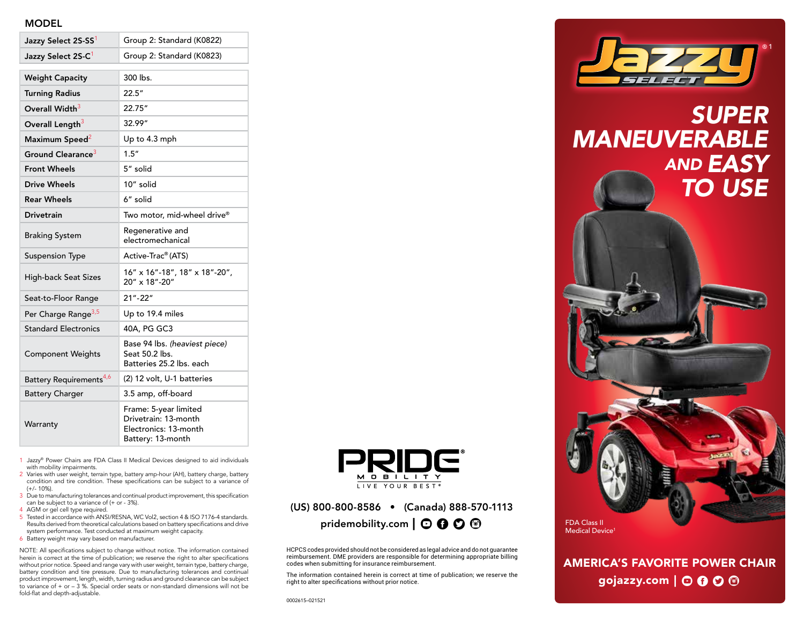#### **MODEL**

| Jazzy Select 2S-SS <sup>1</sup>     | Group 2: Standard (K0822)                                                                   |
|-------------------------------------|---------------------------------------------------------------------------------------------|
| Jazzy Select 2S-C <sup>1</sup>      | Group 2: Standard (K0823)                                                                   |
| <b>Weight Capacity</b>              | 300 lbs.                                                                                    |
| <b>Turning Radius</b>               | 22.5"                                                                                       |
| Overall Width <sup>3</sup>          | 22.75"                                                                                      |
| Overall Length <sup>3</sup>         | 32.99"                                                                                      |
| Maximum Speed <sup>2</sup>          | Up to 4.3 mph                                                                               |
| Ground Clearance <sup>3</sup>       | 1.5''                                                                                       |
| <b>Front Wheels</b>                 | 5" solid                                                                                    |
| Drive Wheels                        | 10" solid                                                                                   |
| <b>Rear Wheels</b>                  | 6" solid                                                                                    |
| <b>Drivetrain</b>                   | Two motor, mid-wheel drive®                                                                 |
| <b>Braking System</b>               | Regenerative and<br>electromechanical                                                       |
| <b>Suspension Type</b>              | Active-Trac® (ATS)                                                                          |
| <b>High-back Seat Sizes</b>         | 16" x 16"-18", 18" x 18"-20",<br>20" x 18"-20"                                              |
| Seat-to-Floor Range                 | $21 - 22$                                                                                   |
| Per Charge Range <sup>3,5</sup>     | Up to 19.4 miles                                                                            |
| <b>Standard Electronics</b>         | 40A, PG GC3                                                                                 |
| <b>Component Weights</b>            | Base 94 lbs. (heaviest piece)<br>Seat 50.2 lbs.<br>Batteries 25.2 lbs. each                 |
| Battery Requirements <sup>4,6</sup> | (2) 12 volt, U-1 batteries                                                                  |
| <b>Battery Charger</b>              | 3.5 amp, off-board                                                                          |
| Warranty                            | Frame: 5-year limited<br>Drivetrain: 13-month<br>Electronics: 13-month<br>Battery: 13-month |

- 1 Jazzy® Power Chairs are FDA Class II Medical Devices designed to aid individuals with mobility impairments.
- 2 Varies with user weight, terrain type, battery amp-hour (AH), battery charge, battery condition and tire condition. These specifications can be subject to a variance of (+/- 10%).
- 3 Due to manufacturing tolerances and continual product improvement, this specification can be subject to a variance of (+ or - 3%).
- 4 AGM or gel cell type required.
- 5 Tested in accordance with ANSI/RESNA, WC Vol2, section 4 & ISO 7176-4 standards. Results derived from theoretical calculations based on battery specifications and drive system performance. Test conducted at maximum weight capacity.
- 6 Battery weight may vary based on manufacturer.

NOTE: All specifications subject to change without notice. The information contained herein is correct at the time of publication; we reserve the right to alter specifications without prior notice. Speed and range vary with user weight, terrain type, battery charge, battery condition and tire pressure. Due to manufacturing tolerances and continual product improvement, length, width, turning radius and ground clearance can be subject to variance of + or – 3 %. Special order seats or non-standard dimensions will not be fold-flat and depth-adjustable.



## (US) 800-800-8586 • (Canada) 888-570-1113 pridemobility.com  $\mathbf{O} \mathbf{O} \mathbf{O} \mathbf{O}$

HCPCS codes provided should not be considered as legal advice and do not guarantee reimbursement. DME providers are responsible for determining appropriate billing codes when submitting for insurance reimbursement.

The information contained herein is correct at time of publication; we reserve the right to alter specifications without prior notice.



# *SUPER MANEUVERABLE AND EASY TO USE*



AMERICA'S FAVORITE POWER CHAIR gojazzy.com  $\mathcal O$   $\mathcal O$   $\mathcal O$   $\mathcal O$   $\mathcal O$